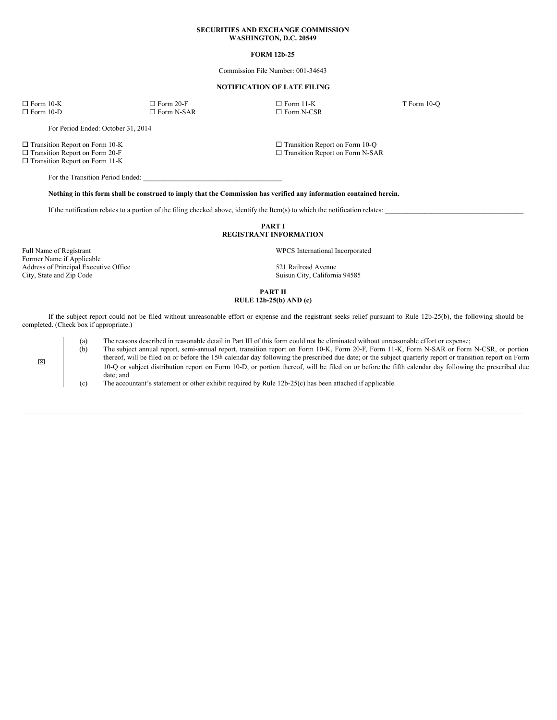### **SECURITIES AND EXCHANGE COMMISSION WASHINGTON, D.C. 20549**

#### **FORM 12b-25**

Commission File Number: 001-34643

# **NOTIFICATION OF LATE FILING**

 $\square$  Form 10-K  $\square$  Form 20-F  $\square$  Form 11-K T Form 10-Q  $\square$  Form 10-D  $\square$  Form N-SAR  $\square$  Form N-CSR

For Period Ended: October 31, 2014

□ Transition Report on Form 11-K

For the Transition Period Ended:

 $\Box$  Transition Report on Form 10-K  $\Box$  Transition Report on Form 10-Q □ Transition Report on Form 20-F □ □ □ Transition Report on Form N-SAR

Nothing in this form shall be construed to imply that the Commission has verified any information contained herein.

If the notification relates to a portion of the filing checked above, identify the Item(s) to which the notification relates:

### **PART I REGISTRANT INFORMATION**

Full Name of Registrant WPCS International Incorporated Former Name if Applicable Address of Principal Executive Office 521 Railroad Avenue

City, State and Zip Code Suisun City, California 94585

**PART II**

## **RULE 12b-25(b) AND (c)**

If the subject report could not be filed without unreasonable effort or expense and the registrant seeks relief pursuant to Rule 12b-25(b), the following should be completed. (Check box if appropriate.)

x (a) The reasons described in reasonable detail in Part III of this form could not be eliminated without unreasonable effort or expense; (b) The subject annual report, semi-annual report, transition report on Form 10-K, Form 20-F, Form 11-K, Form N-SAR or Form N-CSR, or portion thereof, will be filed on or before the 15th calendar day following the prescribed due date; or the subject quarterly report or transition report on Form 10-Q or subject distribution report on Form 10-D, or portion thereof, will be filed on or before the fifth calendar day following the prescribed due date; and (c) The accountant's statement or other exhibit required by Rule 12b-25(c) has been attached if applicable.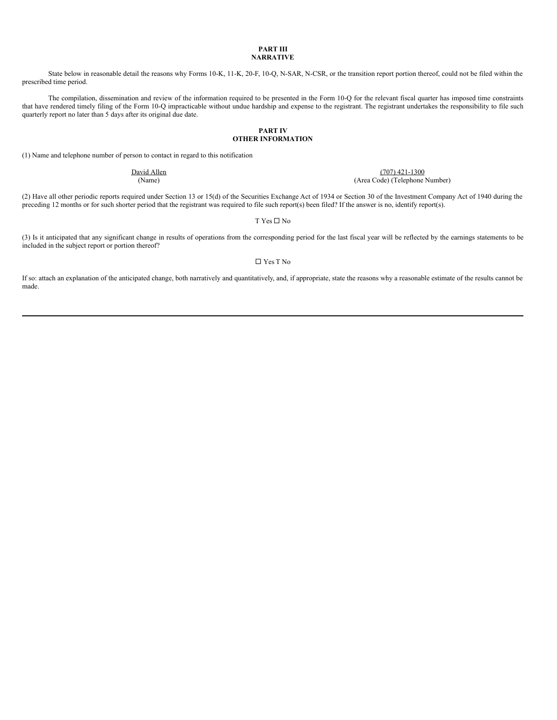### **PART III NARRATIVE**

State below in reasonable detail the reasons why Forms 10-K, 11-K, 20-F, 10-Q, N-SAR, N-CSR, or the transition report portion thereof, could not be filed within the prescribed time period.

The compilation, dissemination and review of the information required to be presented in the Form 10-Q for the relevant fiscal quarter has imposed time constraints that have rendered timely filing of the Form 10-Q impracticable without undue hardship and expense to the registrant. The registrant undertakes the responsibility to file such quarterly report no later than 5 days after its original due date.

### **PART IV OTHER INFORMATION**

(1) Name and telephone number of person to contact in regard to this notification

David Allen (707) 421-1300 (Name) (Area Code) (Telephone Number)

(2) Have all other periodic reports required under Section 13 or 15(d) of the Securities Exchange Act of 1934 or Section 30 of the Investment Company Act of 1940 during the preceding 12 months or for such shorter period that the registrant was required to file such report(s) been filed? If the answer is no, identify report(s).

T Yes $\square$  No

(3) Is it anticipated that any significant change in results of operations from the corresponding period for the last fiscal year will be reflected by the earnings statements to be included in the subject report or portion thereof?

□ Yes T No

If so: attach an explanation of the anticipated change, both narratively and quantitatively, and, if appropriate, state the reasons why a reasonable estimate of the results cannot be made.